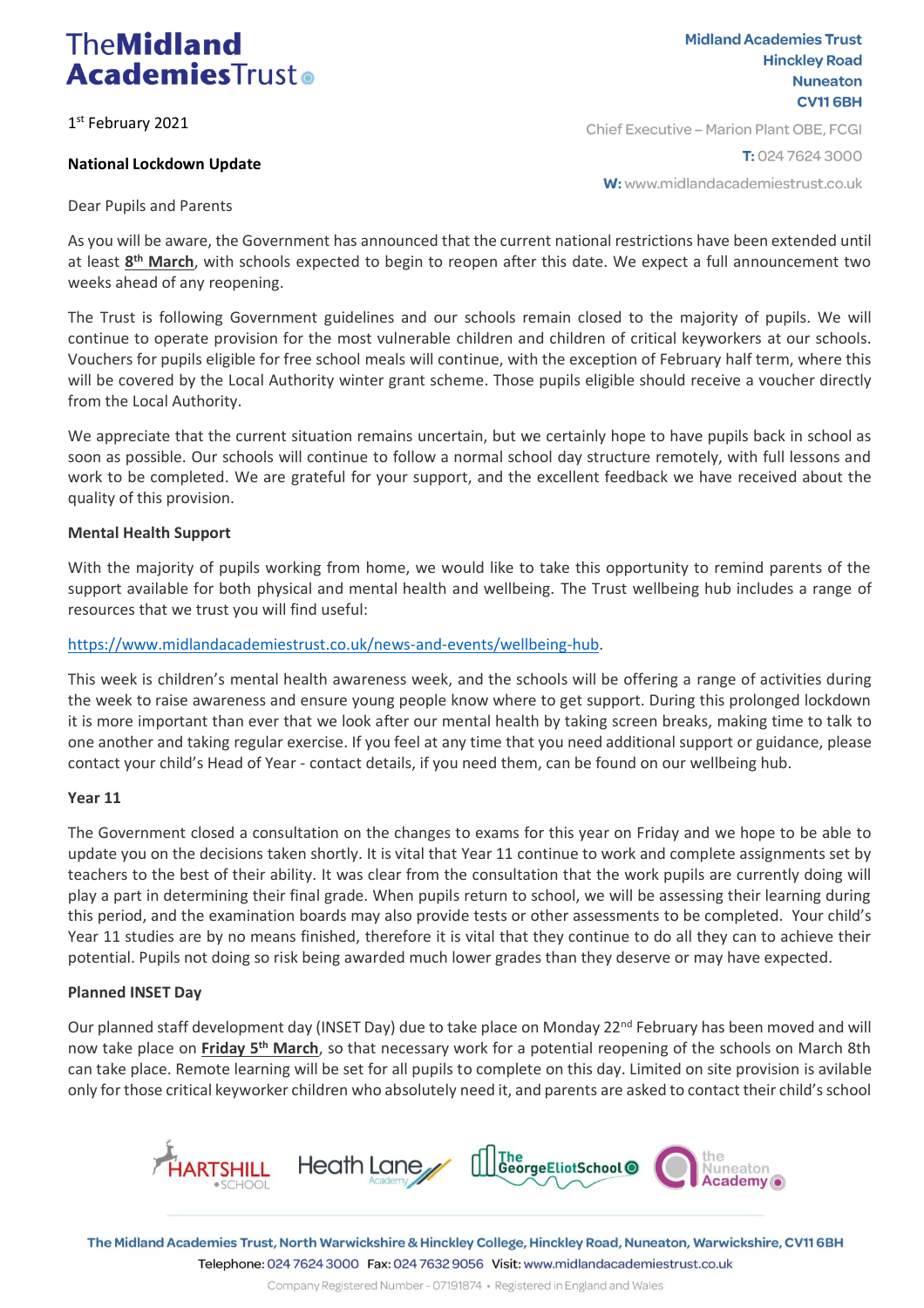# **TheMidland AcademiesTrusto**

1 st February 2021

### **National Lockdown Update**

**Midland Academies Trust Hinckley Road Nuneaton CV116BH** Chief Executive - Marion Plant OBE, FCGI

T: 024 7624 3000

W: www.midlandacademiestrust.co.uk

Dear Pupils and Parents

As you will be aware, the Government has announced that the current national restrictions have been extended until at least  $8<sup>th</sup>$  March, with schools expected to begin to reopen after this date. We expect a full announcement two weeks ahead of any reopening.

The Trust is following Government guidelines and our schools remain closed to the majority of pupils. We will continue to operate provision for the most vulnerable children and children of critical keyworkers at our schools. Vouchers for pupils eligible for free school meals will continue, with the exception of February half term, where this will be covered by the Local Authority winter grant scheme. Those pupils eligible should receive a voucher directly from the Local Authority.

We appreciate that the current situation remains uncertain, but we certainly hope to have pupils back in school as soon as possible. Our schools will continue to follow a normal school day structure remotely, with full lessons and work to be completed. We are grateful for your support, and the excellent feedback we have received about the quality of this provision.

#### **Mental Health Support**

With the majority of pupils working from home, we would like to take this opportunity to remind parents of the support available for both physical and mental health and wellbeing. The Trust wellbeing hub includes a range of resources that we trust you will find useful:

#### [https://www.midlandacademiestrust.co.uk/news-and-events/wellbeing-hub.](https://www.midlandacademiestrust.co.uk/news-and-events/wellbeing-hub)

This week is children's mental health awareness week, and the schools will be offering a range of activities during the week to raise awareness and ensure young people know where to get support. During this prolonged lockdown it is more important than ever that we look after our mental health by taking screen breaks, making time to talk to one another and taking regular exercise. If you feel at any time that you need additional support or guidance, please contact your child's Head of Year - contact details, if you need them, can be found on our wellbeing hub.

#### **Year 11**

The Government closed a consultation on the changes to exams for this year on Friday and we hope to be able to update you on the decisions taken shortly. It is vital that Year 11 continue to work and complete assignments set by teachers to the best of their ability. It was clear from the consultation that the work pupils are currently doing will play a part in determining their final grade. When pupils return to school, we will be assessing their learning during this period, and the examination boards may also provide tests or other assessments to be completed. Your child's Year 11 studies are by no means finished, therefore it is vital that they continue to do all they can to achieve their potential. Pupils not doing so risk being awarded much lower grades than they deserve or may have expected.

#### **Planned INSET Day**

Our planned staff development day (INSET Day) due to take place on Monday 22<sup>nd</sup> February has been moved and will now take place on **Friday 5th March**, so that necessary work for a potential reopening of the schools on March 8th can take place. Remote learning will be set for all pupils to complete on this day. Limited on site provision is avilable only for those critical keyworker children who absolutely need it, and parents are asked to contact their child's school



The Midland Academies Trust, North Warwickshire & Hinckley College, Hinckley Road, Nuneaton, Warwickshire, CV116BH Telephone: 024 7624 3000 Fax: 024 7632 9056 Visit: www.midlandacademiestrust.co.uk